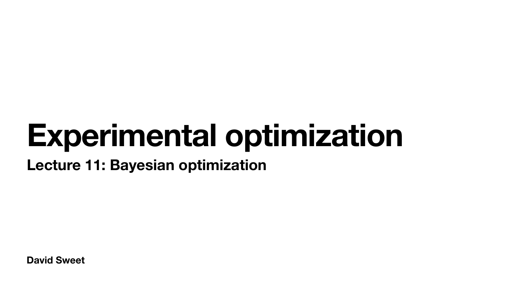**David Sweet**

# **Experimental optimization Lecture 11: Bayesian optimization**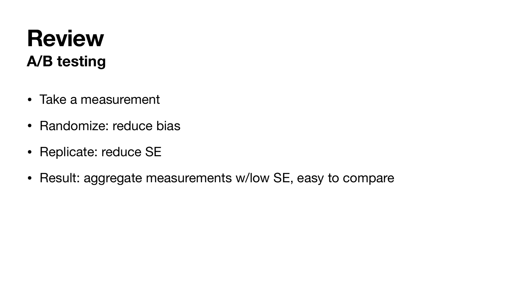### **Review A/B testing**

- Take a measurement
- Randomize: reduce bias
- Replicate: reduce SE
- Result: aggregate measurements w/low SE, easy to compare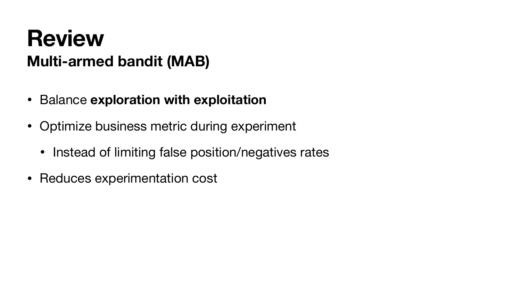#### **Review Multi-armed bandit (MAB)**

- Balance **exploration with exploitation**
- Optimize business metric during experiment
	- Instead of limiting false position/negatives rates
- Reduces experimentation cost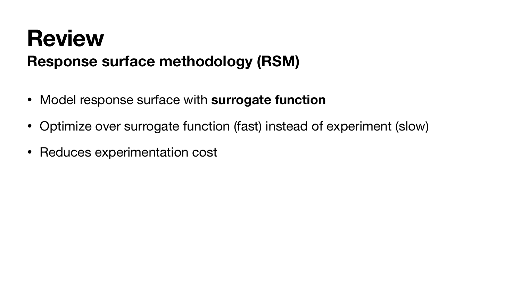## **Review Response surface methodology (RSM)**

- Model response surface with **surrogate function**
- Optimize over surrogate function (fast) instead of experiment (slow)
- Reduces experimentation cost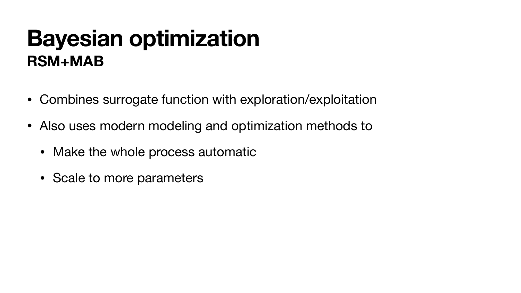### **Bayesian optimization RSM+MAB**

- Combines surrogate function with exploration/exploitation
- Also uses modern modeling and optimization methods to
	- Make the whole process automatic
	- Scale to more parameters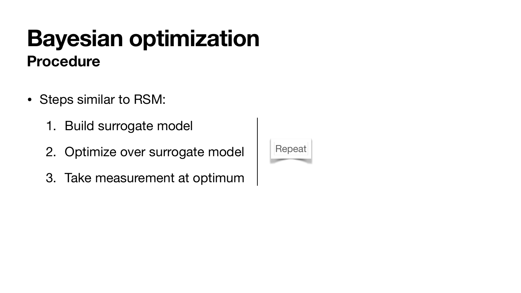- Steps similar to RSM:
	- 1. Build surrogate model
	- 2. Optimize over surrogate model
	- 3. Take measurement at optimum



### **Procedure Bayesian optimization**

#### Repeat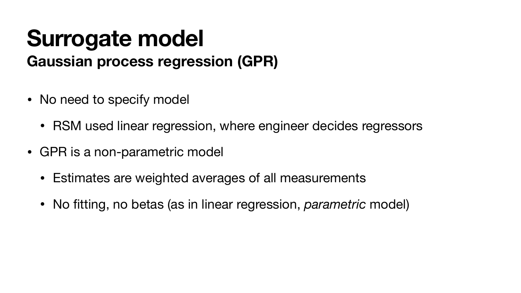## **Surrogate model Gaussian process regression (GPR)**

- No need to specify model
	- RSM used linear regression, where engineer decides regressors
- GPR is a non-parametric model
	- Estimates are weighted averages of all measurements
	- No fitting, no betas (as in linear regression, *parametric* model)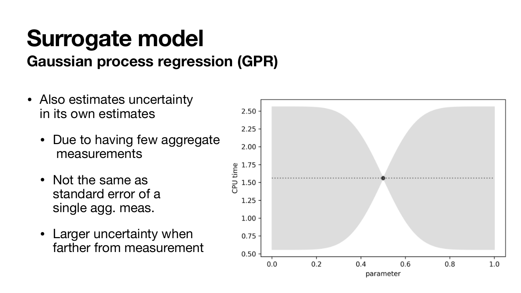## **Surrogate model Gaussian process regression (GPR)**

- Also estimates uncertainty in its own estimates
	- Due to having few aggregate measurements
	- Not the same as standard error of a single agg. meas.
	- Larger uncertainty when farther from measurement

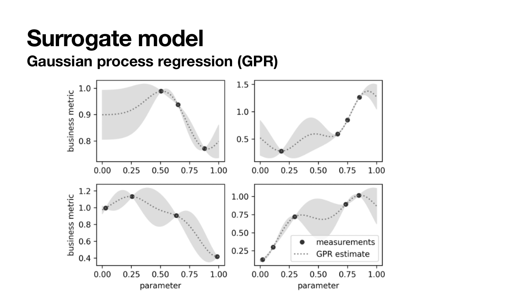### **Surrogate model Gaussian process regression (GPR)**

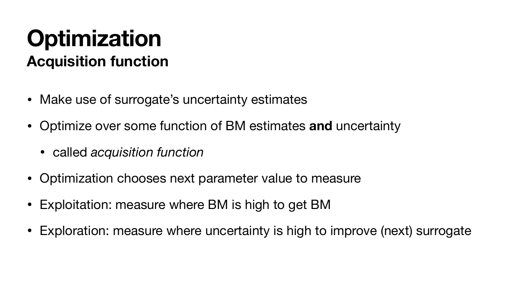### **Optimization Acquisition function**

- Make use of surrogate's uncertainty estimates
- Optimize over some function of BM estimates **and** uncertainty
	- called *acquisition function*
- Optimization chooses next parameter value to measure
- Exploitation: measure where BM is high to get BM
- Exploration: measure where uncertainty is high to improve (next) surrogate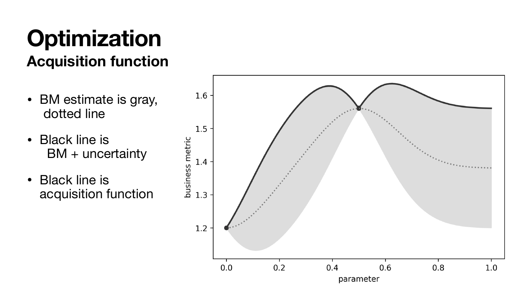- BM estimate is gray, dotted line
- Black line is BM + uncertainty
- Black line is acquisition function



#### **Optimization Acquisition function**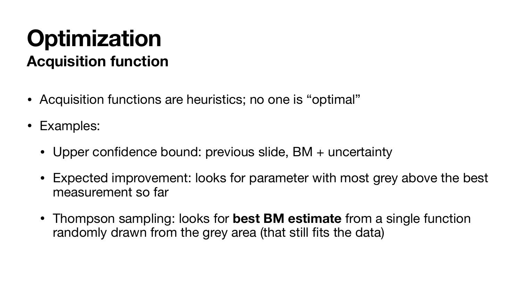- Acquisition functions are heuristics; no one is "optimal"
- Examples:
	- Upper confidence bound: previous slide, BM + uncertainty
	- Expected improvement: looks for parameter with most grey above the best measurement so far
	- Thompson sampling: looks for **best BM estimate** from a single function randomly drawn from the grey area (that still fits the data)

## **Optimization Acquisition function**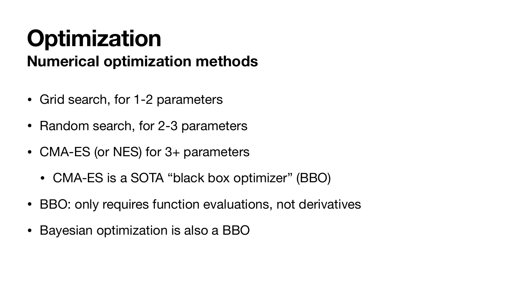### **Optimization Numerical optimization methods**

- Grid search, for 1-2 parameters
- Random search, for 2-3 parameters
- CMA-ES (or NES) for 3+ parameters
	- CMA-ES is a SOTA "black box optimizer" (BBO)
- BBO: only requires function evaluations, not derivatives
- Bayesian optimization is also a BBO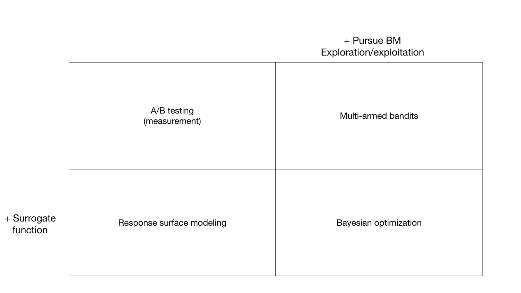#### + Pursue BM Exploration/exploitation

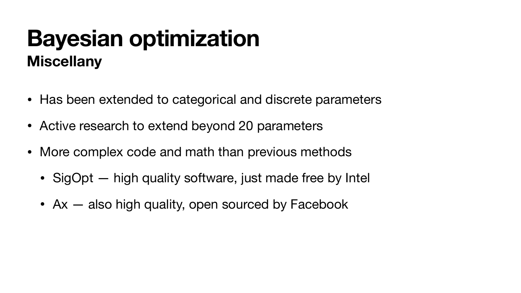- Has been extended to categorical and discrete parameters
- Active research to extend beyond 20 parameters
- More complex code and math than previous methods
	- SigOpt high quality software, just made free by Intel
	- Ax also high quality, open sourced by Facebook

### **Miscellany Bayesian optimization**